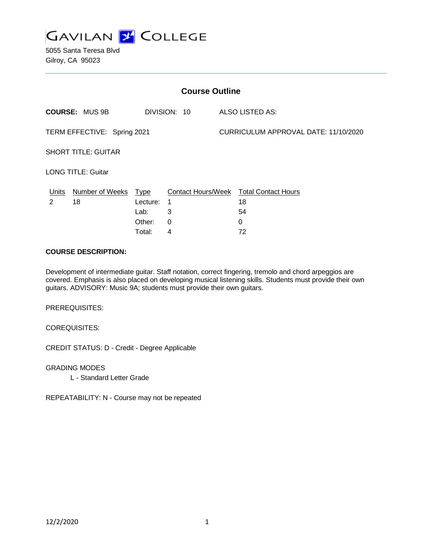

5055 Santa Teresa Blvd Gilroy, CA 95023

| <b>Course Outline</b>       |                       |          |              |                                      |                                        |
|-----------------------------|-----------------------|----------|--------------|--------------------------------------|----------------------------------------|
|                             | <b>COURSE: MUS 9B</b> |          | DIVISION: 10 |                                      | ALSO LISTED AS:                        |
| TERM EFFECTIVE: Spring 2021 |                       |          |              | CURRICULUM APPROVAL DATE: 11/10/2020 |                                        |
| <b>SHORT TITLE: GUITAR</b>  |                       |          |              |                                      |                                        |
| <b>LONG TITLE: Guitar</b>   |                       |          |              |                                      |                                        |
| Units                       | Number of Weeks Type  |          |              |                                      | Contact Hours/Week Total Contact Hours |
| 2                           | 18                    | Lecture: | 1            |                                      | 18                                     |
|                             |                       | Lab:     | 3            |                                      | 54                                     |
|                             |                       | Other:   | $\Omega$     |                                      | 0                                      |
|                             |                       | Total:   | 4            |                                      | 72                                     |

## **COURSE DESCRIPTION:**

Development of intermediate guitar. Staff notation, correct fingering, tremolo and chord arpeggios are covered. Emphasis is also placed on developing musical listening skills. Students must provide their own guitars. ADVISORY: Music 9A; students must provide their own guitars.

PREREQUISITES:

COREQUISITES:

CREDIT STATUS: D - Credit - Degree Applicable

GRADING MODES

L - Standard Letter Grade

REPEATABILITY: N - Course may not be repeated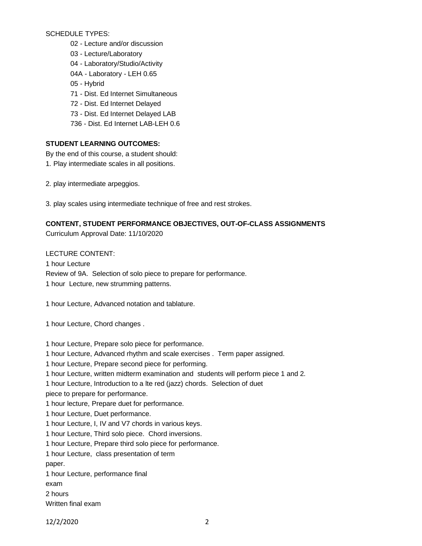SCHEDULE TYPES:

- 02 Lecture and/or discussion
- 03 Lecture/Laboratory
- 04 Laboratory/Studio/Activity
- 04A Laboratory LEH 0.65
- 05 Hybrid
- 71 Dist. Ed Internet Simultaneous
- 72 Dist. Ed Internet Delayed
- 73 Dist. Ed Internet Delayed LAB
- 736 Dist. Ed Internet LAB-LEH 0.6

## **STUDENT LEARNING OUTCOMES:**

By the end of this course, a student should:

- 1. Play intermediate scales in all positions.
- 2. play intermediate arpeggios.
- 3. play scales using intermediate technique of free and rest strokes.

## **CONTENT, STUDENT PERFORMANCE OBJECTIVES, OUT-OF-CLASS ASSIGNMENTS**

Curriculum Approval Date: 11/10/2020

LECTURE CONTENT:

1 hour Lecture Review of 9A. Selection of solo piece to prepare for performance. 1 hour Lecture, new strumming patterns.

1 hour Lecture, Advanced notation and tablature.

1 hour Lecture, Chord changes .

1 hour Lecture, Prepare solo piece for performance.

1 hour Lecture, Advanced rhythm and scale exercises . Term paper assigned.

1 hour Lecture, Prepare second piece for performing.

1 hour Lecture, written midterm examination and students will perform piece 1 and 2.

1 hour Lecture, Introduction to a lte red (jazz) chords. Selection of duet

piece to prepare for performance.

1 hour lecture, Prepare duet for performance.

1 hour Lecture, Duet performance.

1 hour Lecture, I, IV and V7 chords in various keys.

1 hour Lecture, Third solo piece. Chord inversions.

1 hour Lecture, Prepare third solo piece for performance.

1 hour Lecture, class presentation of term

paper.

1 hour Lecture, performance final exam 2 hours Written final exam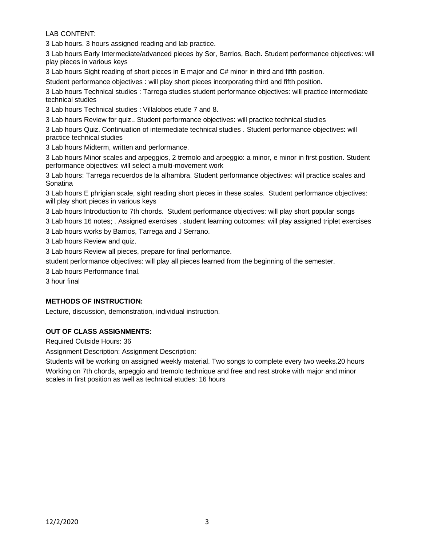LAB CONTENT:

3 Lab hours. 3 hours assigned reading and lab practice.

3 Lab hours Early Intermediate/advanced pieces by Sor, Barrios, Bach. Student performance objectives: will play pieces in various keys

3 Lab hours Sight reading of short pieces in E major and C# minor in third and fifth position.

Student performance objectives : will play short pieces incorporating third and fifth position.

3 Lab hours Technical studies : Tarrega studies student performance objectives: will practice intermediate technical studies

3 Lab hours Technical studies : Villalobos etude 7 and 8.

3 Lab hours Review for quiz.. Student performance objectives: will practice technical studies

3 Lab hours Quiz. Continuation of intermediate technical studies . Student performance objectives: will practice technical studies

3 Lab hours Midterm, written and performance.

3 Lab hours Minor scales and arpeggios, 2 tremolo and arpeggio: a minor, e minor in first position. Student performance objectives: will select a multi-movement work

3 Lab hours: Tarrega recuerdos de la alhambra. Student performance objectives: will practice scales and Sonatina

3 Lab hours E phrigian scale, sight reading short pieces in these scales. Student performance objectives: will play short pieces in various keys

3 Lab hours Introduction to 7th chords. Student performance objectives: will play short popular songs

3 Lab hours 16 notes; . Assigned exercises . student learning outcomes: will play assigned triplet exercises

3 Lab hours works by Barrios, Tarrega and J Serrano.

3 Lab hours Review and quiz.

3 Lab hours Review all pieces, prepare for final performance.

student performance objectives: will play all pieces learned from the beginning of the semester.

3 Lab hours Performance final.

3 hour final

# **METHODS OF INSTRUCTION:**

Lecture, discussion, demonstration, individual instruction.

#### **OUT OF CLASS ASSIGNMENTS:**

Required Outside Hours: 36

Assignment Description: Assignment Description:

Students will be working on assigned weekly material. Two songs to complete every two weeks.20 hours Working on 7th chords, arpeggio and tremolo technique and free and rest stroke with major and minor scales in first position as well as technical etudes: 16 hours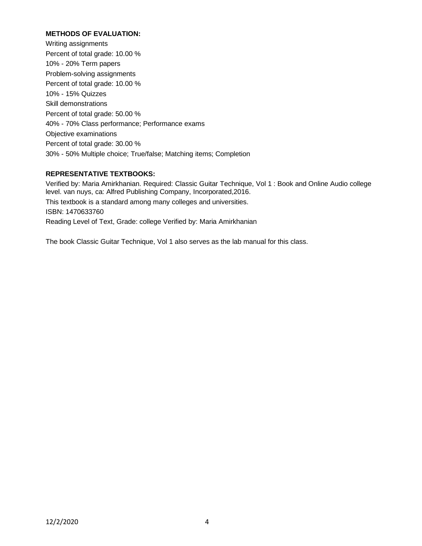## **METHODS OF EVALUATION:**

Writing assignments Percent of total grade: 10.00 % 10% - 20% Term papers Problem-solving assignments Percent of total grade: 10.00 % 10% - 15% Quizzes Skill demonstrations Percent of total grade: 50.00 % 40% - 70% Class performance; Performance exams Objective examinations Percent of total grade: 30.00 % 30% - 50% Multiple choice; True/false; Matching items; Completion

#### **REPRESENTATIVE TEXTBOOKS:**

Verified by: Maria Amirkhanian. Required: Classic Guitar Technique, Vol 1 : Book and Online Audio college level. van nuys, ca: Alfred Publishing Company, Incorporated,2016. This textbook is a standard among many colleges and universities. ISBN: 1470633760 Reading Level of Text, Grade: college Verified by: Maria Amirkhanian

The book Classic Guitar Technique, Vol 1 also serves as the lab manual for this class.